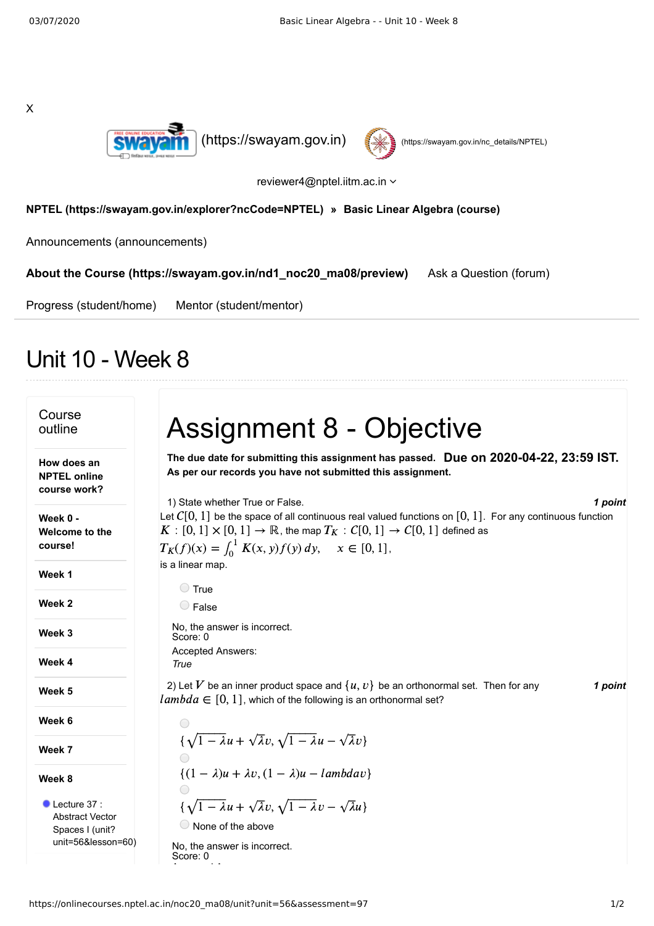



reviewer4@nptel.iitm.ac.in  $\sim$ 

## **[NPTEL \(https://swayam.gov.in/explorer?ncCode=NPTEL\)](https://swayam.gov.in/explorer?ncCode=NPTEL) » [Basic Linear Algebra \(course\)](https://onlinecourses.nptel.ac.in/noc20_ma08/course)**

[Announcements \(announcements\)](https://onlinecourses.nptel.ac.in/noc20_ma08/announcements)

**[About the Course \(https://swayam.gov.in/nd1\\_noc20\\_ma08/preview\)](https://swayam.gov.in/nd1_noc20_ma08/preview)** [Ask a Question \(forum\)](https://onlinecourses.nptel.ac.in/noc20_ma08/forum)

[Progress \(student/home\)](https://onlinecourses.nptel.ac.in/noc20_ma08/student/home) [Mentor \(student/mentor\)](https://onlinecourses.nptel.ac.in/noc20_ma08/student/mentor)

## Unit 10 - Week 8